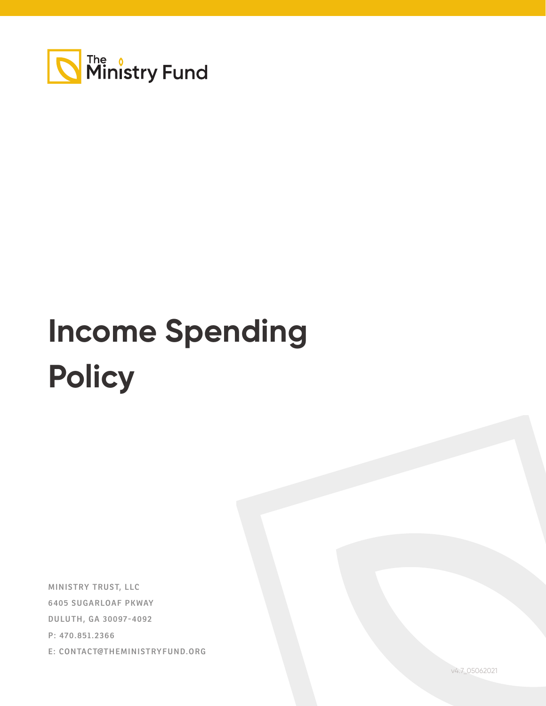

## **Income Spending Policy**

**MINISTRY TRUST, LLC 6405 SUGARLOAF PKWAY DULUTH, GA 30097-4092 P: 470.851.2366 E: CONTACT@THEMINISTRYFUND.ORG**

v4.7\_05062021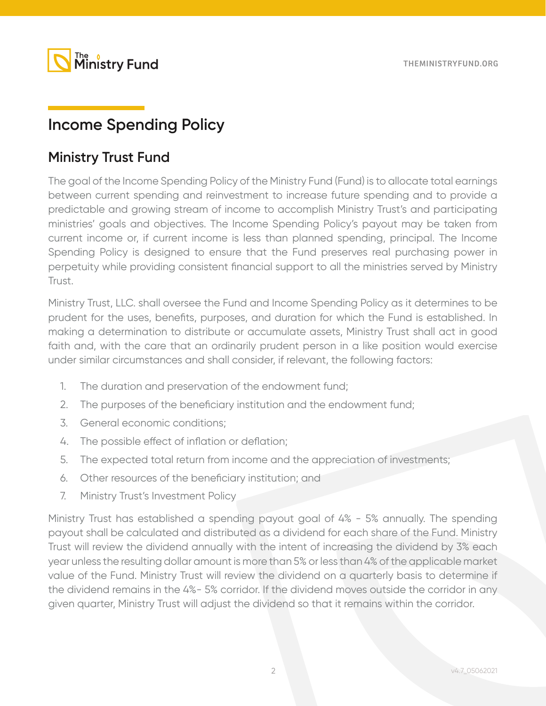

## **Income Spending Policy**

## **Ministry Trust Fund**

The goal of the Income Spending Policy of the Ministry Fund (Fund) is to allocate total earnings between current spending and reinvestment to increase future spending and to provide a predictable and growing stream of income to accomplish Ministry Trust's and participating ministries' goals and objectives. The Income Spending Policy's payout may be taken from current income or, if current income is less than planned spending, principal. The Income Spending Policy is designed to ensure that the Fund preserves real purchasing power in perpetuity while providing consistent financial support to all the ministries served by Ministry Trust.

Ministry Trust, LLC. shall oversee the Fund and Income Spending Policy as it determines to be prudent for the uses, benefits, purposes, and duration for which the Fund is established. In making a determination to distribute or accumulate assets, Ministry Trust shall act in good faith and, with the care that an ordinarily prudent person in a like position would exercise under similar circumstances and shall consider, if relevant, the following factors:

- 1. The duration and preservation of the endowment fund;
- 2. The purposes of the beneficiary institution and the endowment fund;
- 3. General economic conditions;
- 4. The possible effect of inflation or deflation;
- 5. The expected total return from income and the appreciation of investments;
- 6. Other resources of the beneficiary institution; and
- 7. Ministry Trust's Investment Policy

Ministry Trust has established a spending payout goal of 4% - 5% annually. The spending payout shall be calculated and distributed as a dividend for each share of the Fund. Ministry Trust will review the dividend annually with the intent of increasing the dividend by 3% each year unless the resulting dollar amount is more than 5% or less than 4% of the applicable market value of the Fund. Ministry Trust will review the dividend on a quarterly basis to determine if the dividend remains in the 4%- 5% corridor. If the dividend moves outside the corridor in any given quarter, Ministry Trust will adjust the dividend so that it remains within the corridor.